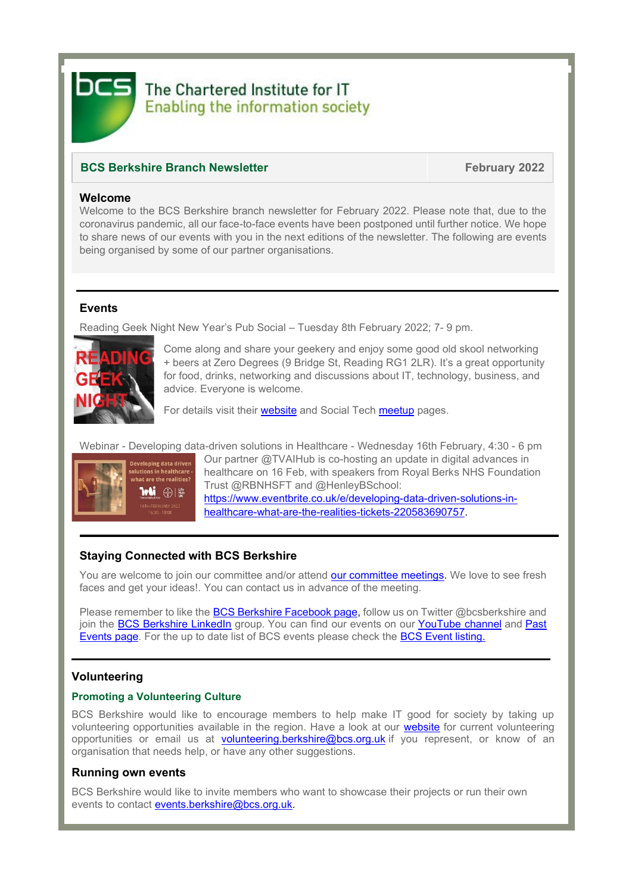

# The Chartered Institute for IT **Enabling the information society**

## **BCS Berkshire Branch Newsletter February** 2022

#### **Welcome**

Welcome to the BCS Berkshire branch newsletter for February 2022. Please note that, due to the coronavirus pandemic, all our face-to-face events have been postponed until further notice. We hope to share news of our events with you in the next editions of the newsletter. The following are events being organised by some of our partner organisations.

## **Events**

Reading Geek Night New Year's Pub Social – Tuesday 8th February 2022; 7- 9 pm.



Come along and share your geekery and enjoy some good old skool networking + beers at Zero Degrees (9 Bridge St, Reading RG1 2LR). It's a great opportunity for food, drinks, networking and discussions about IT, technology, business, and advice. Everyone is welcome.

For details visit their [website](https://rdggeeknight.wordpress.com/) and [Social Tech meetup](https://www.meetup.com/socialtechgroup/) pages.

Webinar - Developing data-driven solutions in Healthcare - Wednesday 16th February, 4:30 - 6 pm



Our partner @TVAIHub is co-hosting an update in digital advances in healthcare on 16 Feb, with speakers from Royal Berks NHS Foundation Trust @RBNHSFT and @HenleyBSchool: [https://www.eventbrite.co.uk/e/developing-data-driven-solutions-in-](https://www.eventbrite.co.uk/e/developing-data-driven-solutions-in-healthcare-what-are-the-realities-tickets-220583690757)

[healthcare-what-are-the-realities-tickets-220583690757.](https://www.eventbrite.co.uk/e/developing-data-driven-solutions-in-healthcare-what-are-the-realities-tickets-220583690757)

# **Staying Connected with BCS Berkshire**

You are welcome to join our committee and/or attend [our committee meetings.](https://www.bcs.org/membership/member-communities/berkshire-branch/committee/) We love to see fresh faces and get your ideas!. You can contact us in advance of the meeting.

Please remember to like the [BCS Berkshire Facebook page,](https://www.facebook.com/pages/BCS-Berkshire/246243855431896) follow us on Twitter @bcsberkshire and join the [BCS Berkshire LinkedIn](https://www.linkedin.com/groups/5052921/) group. You can find our events on our [YouTube channel](https://www.youtube.com/channel/UCo4nZ_Bf6KVlb5RntpfV3mw) and Past [Events](https://www.bcs.org/membership/member-communities/berkshire-branch/past-events/) page. For the up to date list of BCS events please check the [BCS Event listing.](https://www.bcs.org/events/)

## **Volunteering**

#### **Promoting a Volunteering Culture**

BCS Berkshire would like to encourage members to help make IT good for society by taking up volunteering opportunities available in the region. Have a look at our [website](https://www.bcs.org/membership/member-communities/berkshire-branch/volunteering/) for current volunteering opportunities or email us at [volunteering.berkshire@bcs.org.uk](mailto:volunteering.berkshire@bcs.org.uk) if you represent, or know of an organisation that needs help, or have any other suggestions.

## **Running own events**

BCS Berkshire would like to invite members who want to showcase their projects or run their own events to contact [events.berkshire@bcs.org.uk.](mailto:events.berkshire@bcs.org.uk)